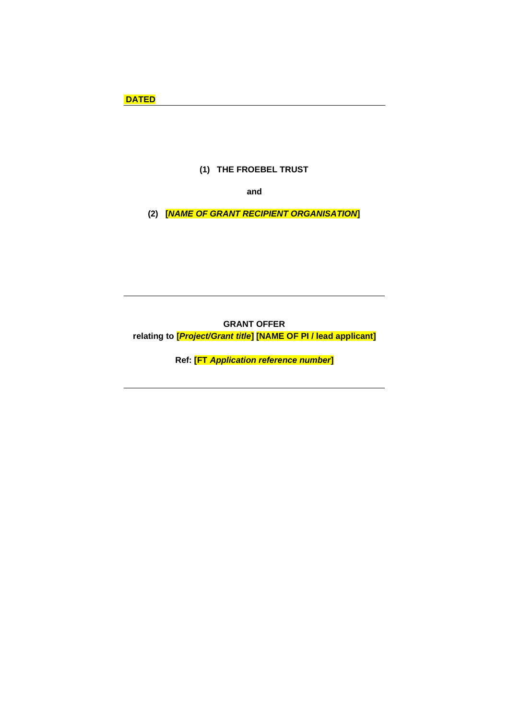# **(1) THE FROEBEL TRUST**

**and**

**(2) [***NAME OF GRANT RECIPIENT ORGANISATION***]**

**GRANT OFFER relating to [***Project/Grant title***] [NAME OF PI / lead applicant]**

**Ref: [FT** *Application reference number***]**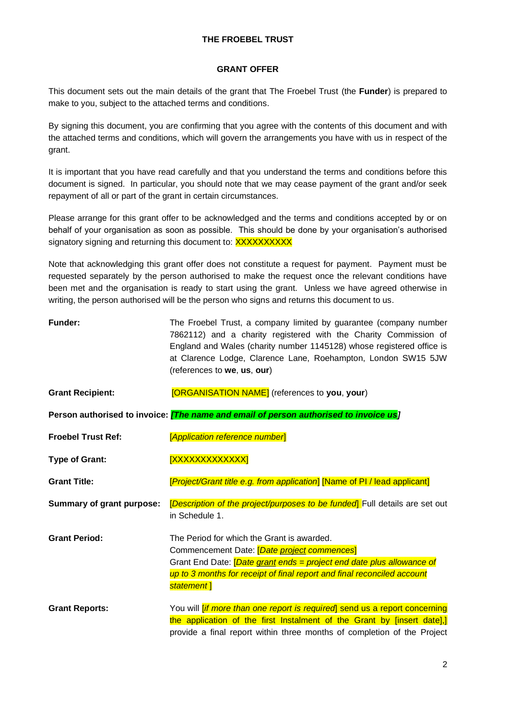## **THE FROEBEL TRUST**

#### **GRANT OFFER**

This document sets out the main details of the grant that The Froebel Trust (the **Funder**) is prepared to make to you, subject to the attached terms and conditions.

By signing this document, you are confirming that you agree with the contents of this document and with the attached terms and conditions, which will govern the arrangements you have with us in respect of the grant.

It is important that you have read carefully and that you understand the terms and conditions before this document is signed. In particular, you should note that we may cease payment of the grant and/or seek repayment of all or part of the grant in certain circumstances.

Please arrange for this grant offer to be acknowledged and the terms and conditions accepted by or on behalf of your organisation as soon as possible. This should be done by your organisation's authorised signatory signing and returning this document to: XXXXXXXXXX

Note that acknowledging this grant offer does not constitute a request for payment. Payment must be requested separately by the person authorised to make the request once the relevant conditions have been met and the organisation is ready to start using the grant. Unless we have agreed otherwise in writing, the person authorised will be the person who signs and returns this document to us.

| <b>Funder:</b>                   | The Froebel Trust, a company limited by guarantee (company number<br>7862112) and a charity registered with the Charity Commission of<br>England and Wales (charity number 1145128) whose registered office is<br>at Clarence Lodge, Clarence Lane, Roehampton, London SW15 5JW<br>(references to we, us, our) |
|----------------------------------|----------------------------------------------------------------------------------------------------------------------------------------------------------------------------------------------------------------------------------------------------------------------------------------------------------------|
| <b>Grant Recipient:</b>          | [ORGANISATION NAME] (references to you, your)                                                                                                                                                                                                                                                                  |
|                                  | Person authorised to invoice: <i>[The name and email of person authorised to invoice us]</i>                                                                                                                                                                                                                   |
| <b>Froebel Trust Ref:</b>        | [Application reference number]                                                                                                                                                                                                                                                                                 |
| <b>Type of Grant:</b>            | <b>XXXXXXXXXXXXXI</b>                                                                                                                                                                                                                                                                                          |
| <b>Grant Title:</b>              | [Project/Grant title e.g. from application] [Name of PI / lead applicant]                                                                                                                                                                                                                                      |
| <b>Summary of grant purpose:</b> | [Description of the project/purposes to be funded] Full details are set out<br>in Schedule 1.                                                                                                                                                                                                                  |
| <b>Grant Period:</b>             | The Period for which the Grant is awarded.<br>Commencement Date: [Date project commences]<br>Grant End Date: <i>[Date grant ends = project end date plus allowance of</i><br>up to 3 months for receipt of final report and final reconciled account<br>statement]                                             |
| <b>Grant Reports:</b>            | You will <i>[if more than one report is required</i> ] send us a report concerning<br>the application of the first Instalment of the Grant by [insert date],]<br>provide a final report within three months of completion of the Project                                                                       |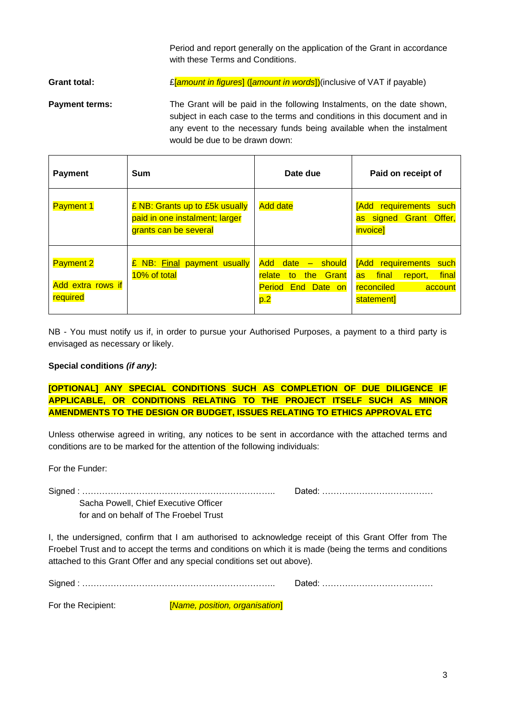Period and report generally on the application of the Grant in accordance with these Terms and Conditions.

**Grant total:** £[*amount in figures*] ([*amount in words*])(inclusive of VAT if payable)

**Payment terms:** The Grant will be paid in the following Instalments, on the date shown, subject in each case to the terms and conditions in this document and in any event to the necessary funds being available when the instalment would be due to be drawn down:

| <b>Payment</b>                                    | <b>Sum</b>                                                                                | Date due                                                                                                            | Paid on receipt of                                                                                               |
|---------------------------------------------------|-------------------------------------------------------------------------------------------|---------------------------------------------------------------------------------------------------------------------|------------------------------------------------------------------------------------------------------------------|
| <b>Payment 1</b>                                  | £ NB: Grants up to £5k usually<br>paid in one instalment; larger<br>grants can be several | <b>Add date</b>                                                                                                     | <b>Add</b> requirements<br>such<br>as signed Grant Offer,<br><i>invoice]</i>                                     |
| <b>Payment 2</b><br>Add extra rows if<br>required | NB: Final payment usually<br>£<br>10% of total                                            | date<br><b>Add</b><br>- should<br>the<br><b>Grant</b><br>relate<br>to<br><b>Period</b><br><b>End Date on</b><br>p.2 | <b>Add</b> requirements<br>such<br>final<br>final<br>report,<br><b>as</b><br>reconciled<br>account<br>statement] |

NB - You must notify us if, in order to pursue your Authorised Purposes, a payment to a third party is envisaged as necessary or likely.

## **Special conditions** *(if any)***:**

**[OPTIONAL] ANY SPECIAL CONDITIONS SUCH AS COMPLETION OF DUE DILIGENCE IF APPLICABLE, OR CONDITIONS RELATING TO THE PROJECT ITSELF SUCH AS MINOR AMENDMENTS TO THE DESIGN OR BUDGET, ISSUES RELATING TO ETHICS APPROVAL ETC**

Unless otherwise agreed in writing, any notices to be sent in accordance with the attached terms and conditions are to be marked for the attention of the following individuals:

For the Funder:

Signed : ………………………………………………………….. Dated: …………………………………

Sacha Powell, Chief Executive Officer for and on behalf of The Froebel Trust

I, the undersigned, confirm that I am authorised to acknowledge receipt of this Grant Offer from The Froebel Trust and to accept the terms and conditions on which it is made (being the terms and conditions attached to this Grant Offer and any special conditions set out above).

Signed : ………………………………………………………….. Dated: …………………………………

For the Recipient: [*Name, position, organisation*]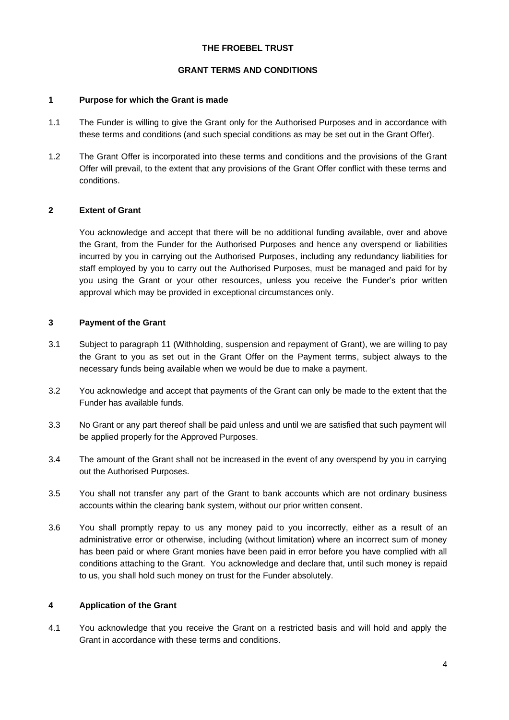### **THE FROEBEL TRUST**

#### **GRANT TERMS AND CONDITIONS**

### **1 Purpose for which the Grant is made**

- 1.1 The Funder is willing to give the Grant only for the Authorised Purposes and in accordance with these terms and conditions (and such special conditions as may be set out in the Grant Offer).
- 1.2 The Grant Offer is incorporated into these terms and conditions and the provisions of the Grant Offer will prevail, to the extent that any provisions of the Grant Offer conflict with these terms and conditions.

## **2 Extent of Grant**

You acknowledge and accept that there will be no additional funding available, over and above the Grant, from the Funder for the Authorised Purposes and hence any overspend or liabilities incurred by you in carrying out the Authorised Purposes, including any redundancy liabilities for staff employed by you to carry out the Authorised Purposes, must be managed and paid for by you using the Grant or your other resources, unless you receive the Funder's prior written approval which may be provided in exceptional circumstances only.

#### **3 Payment of the Grant**

- 3.1 Subject to paragraph [11](#page-6-0) (Withholding, suspension and repayment of Grant), we are willing to pay the Grant to you as set out in the Grant Offer on the Payment terms, subject always to the necessary funds being available when we would be due to make a payment.
- 3.2 You acknowledge and accept that payments of the Grant can only be made to the extent that the Funder has available funds.
- 3.3 No Grant or any part thereof shall be paid unless and until we are satisfied that such payment will be applied properly for the Approved Purposes.
- 3.4 The amount of the Grant shall not be increased in the event of any overspend by you in carrying out the Authorised Purposes.
- 3.5 You shall not transfer any part of the Grant to bank accounts which are not ordinary business accounts within the clearing bank system, without our prior written consent.
- 3.6 You shall promptly repay to us any money paid to you incorrectly, either as a result of an administrative error or otherwise, including (without limitation) where an incorrect sum of money has been paid or where Grant monies have been paid in error before you have complied with all conditions attaching to the Grant. You acknowledge and declare that, until such money is repaid to us, you shall hold such money on trust for the Funder absolutely.

#### **4 Application of the Grant**

4.1 You acknowledge that you receive the Grant on a restricted basis and will hold and apply the Grant in accordance with these terms and conditions.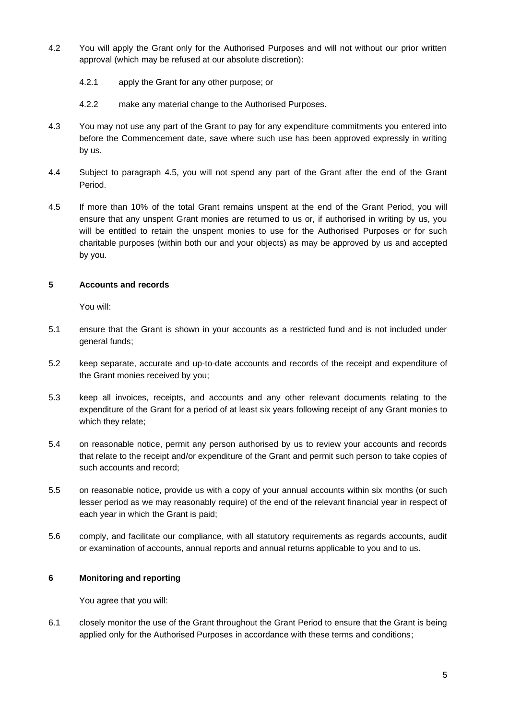- 4.2 You will apply the Grant only for the Authorised Purposes and will not without our prior written approval (which may be refused at our absolute discretion):
	- 4.2.1 apply the Grant for any other purpose; or
	- 4.2.2 make any material change to the Authorised Purposes.
- 4.3 You may not use any part of the Grant to pay for any expenditure commitments you entered into before the Commencement date, save where such use has been approved expressly in writing by us.
- 4.4 Subject to paragraph [4.5,](#page-4-0) you will not spend any part of the Grant after the end of the Grant Period.
- <span id="page-4-0"></span>4.5 If more than 10% of the total Grant remains unspent at the end of the Grant Period, you will ensure that any unspent Grant monies are returned to us or, if authorised in writing by us, you will be entitled to retain the unspent monies to use for the Authorised Purposes or for such charitable purposes (within both our and your objects) as may be approved by us and accepted by you.

## **5 Accounts and records**

You will:

- 5.1 ensure that the Grant is shown in your accounts as a restricted fund and is not included under general funds;
- 5.2 keep separate, accurate and up-to-date accounts and records of the receipt and expenditure of the Grant monies received by you;
- 5.3 keep all invoices, receipts, and accounts and any other relevant documents relating to the expenditure of the Grant for a period of at least six years following receipt of any Grant monies to which they relate;
- 5.4 on reasonable notice, permit any person authorised by us to review your accounts and records that relate to the receipt and/or expenditure of the Grant and permit such person to take copies of such accounts and record;
- 5.5 on reasonable notice, provide us with a copy of your annual accounts within six months (or such lesser period as we may reasonably require) of the end of the relevant financial year in respect of each year in which the Grant is paid;
- 5.6 comply, and facilitate our compliance, with all statutory requirements as regards accounts, audit or examination of accounts, annual reports and annual returns applicable to you and to us.

### **6 Monitoring and reporting**

You agree that you will:

6.1 closely monitor the use of the Grant throughout the Grant Period to ensure that the Grant is being applied only for the Authorised Purposes in accordance with these terms and conditions;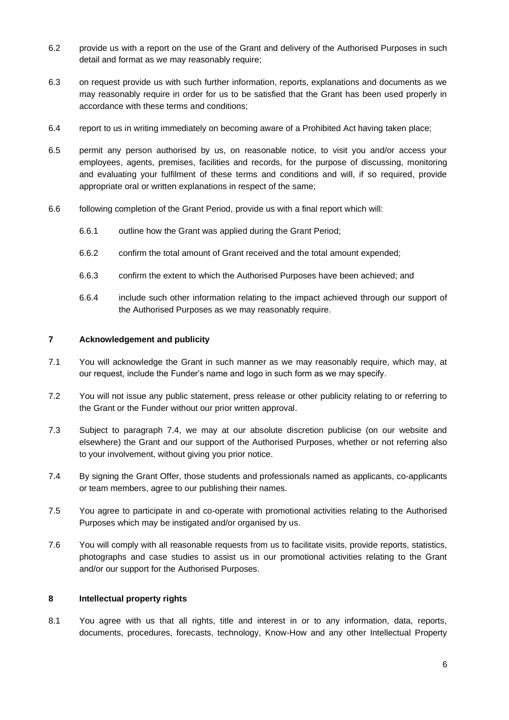- 6.2 provide us with a report on the use of the Grant and delivery of the Authorised Purposes in such detail and format as we may reasonably require;
- 6.3 on request provide us with such further information, reports, explanations and documents as we may reasonably require in order for us to be satisfied that the Grant has been used properly in accordance with these terms and conditions;
- 6.4 report to us in writing immediately on becoming aware of a Prohibited Act having taken place;
- 6.5 permit any person authorised by us, on reasonable notice, to visit you and/or access your employees, agents, premises, facilities and records, for the purpose of discussing, monitoring and evaluating your fulfilment of these terms and conditions and will, if so required, provide appropriate oral or written explanations in respect of the same;
- 6.6 following completion of the Grant Period, provide us with a final report which will:
	- 6.6.1 outline how the Grant was applied during the Grant Period;
	- 6.6.2 confirm the total amount of Grant received and the total amount expended;
	- 6.6.3 confirm the extent to which the Authorised Purposes have been achieved; and
	- 6.6.4 include such other information relating to the impact achieved through our support of the Authorised Purposes as we may reasonably require.

#### **7 Acknowledgement and publicity**

- 7.1 You will acknowledge the Grant in such manner as we may reasonably require, which may, at our request, include the Funder's name and logo in such form as we may specify.
- 7.2 You will not issue any public statement, press release or other publicity relating to or referring to the Grant or the Funder without our prior written approval.
- 7.3 Subject to paragraph [7.4,](#page-5-0) we may at our absolute discretion publicise (on our website and elsewhere) the Grant and our support of the Authorised Purposes, whether or not referring also to your involvement, without giving you prior notice.
- <span id="page-5-0"></span>7.4 By signing the Grant Offer, those students and professionals named as applicants, co-applicants or team members, agree to our publishing their names.
- 7.5 You agree to participate in and co-operate with promotional activities relating to the Authorised Purposes which may be instigated and/or organised by us.
- 7.6 You will comply with all reasonable requests from us to facilitate visits, provide reports, statistics, photographs and case studies to assist us in our promotional activities relating to the Grant and/or our support for the Authorised Purposes.

#### **8 Intellectual property rights**

8.1 You agree with us that all rights, title and interest in or to any information, data, reports, documents, procedures, forecasts, technology, Know-How and any other Intellectual Property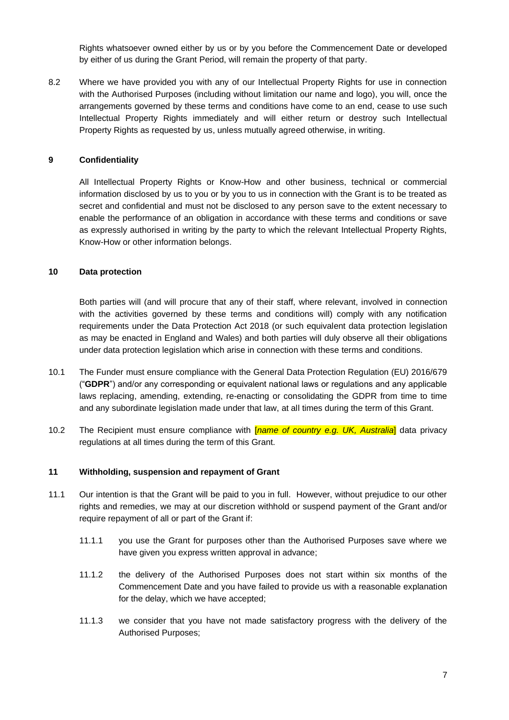Rights whatsoever owned either by us or by you before the Commencement Date or developed by either of us during the Grant Period, will remain the property of that party.

8.2 Where we have provided you with any of our Intellectual Property Rights for use in connection with the Authorised Purposes (including without limitation our name and logo), you will, once the arrangements governed by these terms and conditions have come to an end, cease to use such Intellectual Property Rights immediately and will either return or destroy such Intellectual Property Rights as requested by us, unless mutually agreed otherwise, in writing.

### **9 Confidentiality**

All Intellectual Property Rights or Know-How and other business, technical or commercial information disclosed by us to you or by you to us in connection with the Grant is to be treated as secret and confidential and must not be disclosed to any person save to the extent necessary to enable the performance of an obligation in accordance with these terms and conditions or save as expressly authorised in writing by the party to which the relevant Intellectual Property Rights, Know-How or other information belongs.

#### **10 Data protection**

Both parties will (and will procure that any of their staff, where relevant, involved in connection with the activities governed by these terms and conditions will) comply with any notification requirements under the Data Protection Act 2018 (or such equivalent data protection legislation as may be enacted in England and Wales) and both parties will duly observe all their obligations under data protection legislation which arise in connection with these terms and conditions.

- 10.1 The Funder must ensure compliance with the General Data Protection Regulation (EU) 2016/679 ("**GDPR**") and/or any corresponding or equivalent national laws or regulations and any applicable laws replacing, amending, extending, re-enacting or consolidating the GDPR from time to time and any subordinate legislation made under that law, at all times during the term of this Grant.
- 10.2 The Recipient must ensure compliance with [*name of country e.g. UK, Australia*] data privacy regulations at all times during the term of this Grant.

### <span id="page-6-0"></span>**11 Withholding, suspension and repayment of Grant**

- 11.1 Our intention is that the Grant will be paid to you in full. However, without prejudice to our other rights and remedies, we may at our discretion withhold or suspend payment of the Grant and/or require repayment of all or part of the Grant if:
	- 11.1.1 you use the Grant for purposes other than the Authorised Purposes save where we have given you express written approval in advance;
	- 11.1.2 the delivery of the Authorised Purposes does not start within six months of the Commencement Date and you have failed to provide us with a reasonable explanation for the delay, which we have accepted;
	- 11.1.3 we consider that you have not made satisfactory progress with the delivery of the Authorised Purposes;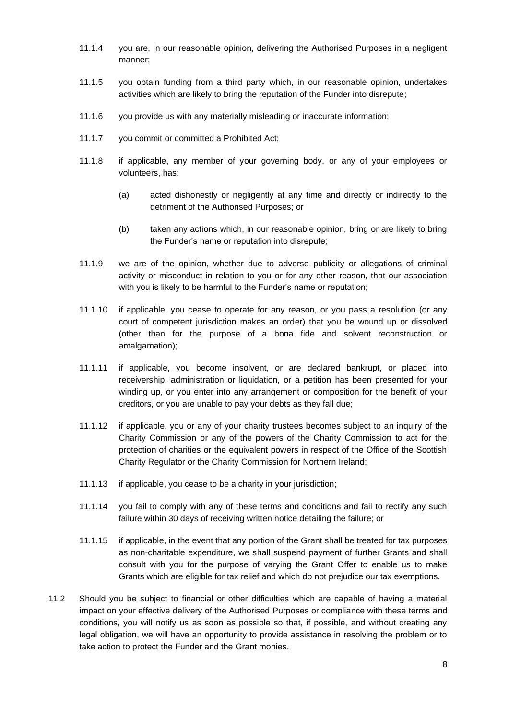- 11.1.4 you are, in our reasonable opinion, delivering the Authorised Purposes in a negligent manner;
- 11.1.5 you obtain funding from a third party which, in our reasonable opinion, undertakes activities which are likely to bring the reputation of the Funder into disrepute;
- 11.1.6 you provide us with any materially misleading or inaccurate information;
- 11.1.7 you commit or committed a Prohibited Act;
- 11.1.8 if applicable, any member of your governing body, or any of your employees or volunteers, has:
	- (a) acted dishonestly or negligently at any time and directly or indirectly to the detriment of the Authorised Purposes; or
	- (b) taken any actions which, in our reasonable opinion, bring or are likely to bring the Funder's name or reputation into disrepute;
- 11.1.9 we are of the opinion, whether due to adverse publicity or allegations of criminal activity or misconduct in relation to you or for any other reason, that our association with you is likely to be harmful to the Funder's name or reputation;
- 11.1.10 if applicable, you cease to operate for any reason, or you pass a resolution (or any court of competent jurisdiction makes an order) that you be wound up or dissolved (other than for the purpose of a bona fide and solvent reconstruction or amalgamation);
- 11.1.11 if applicable, you become insolvent, or are declared bankrupt, or placed into receivership, administration or liquidation, or a petition has been presented for your winding up, or you enter into any arrangement or composition for the benefit of your creditors, or you are unable to pay your debts as they fall due;
- 11.1.12 if applicable, you or any of your charity trustees becomes subject to an inquiry of the Charity Commission or any of the powers of the Charity Commission to act for the protection of charities or the equivalent powers in respect of the Office of the Scottish Charity Regulator or the Charity Commission for Northern Ireland;
- 11.1.13 if applicable, you cease to be a charity in your jurisdiction;
- 11.1.14 you fail to comply with any of these terms and conditions and fail to rectify any such failure within 30 days of receiving written notice detailing the failure; or
- 11.1.15 if applicable, in the event that any portion of the Grant shall be treated for tax purposes as non-charitable expenditure, we shall suspend payment of further Grants and shall consult with you for the purpose of varying the Grant Offer to enable us to make Grants which are eligible for tax relief and which do not prejudice our tax exemptions.
- 11.2 Should you be subject to financial or other difficulties which are capable of having a material impact on your effective delivery of the Authorised Purposes or compliance with these terms and conditions, you will notify us as soon as possible so that, if possible, and without creating any legal obligation, we will have an opportunity to provide assistance in resolving the problem or to take action to protect the Funder and the Grant monies.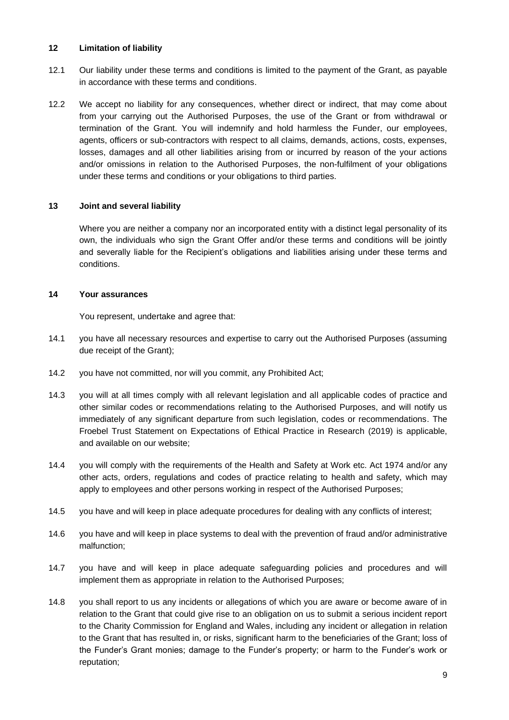#### **12 Limitation of liability**

- 12.1 Our liability under these terms and conditions is limited to the payment of the Grant, as payable in accordance with these terms and conditions.
- 12.2 We accept no liability for any consequences, whether direct or indirect, that may come about from your carrying out the Authorised Purposes, the use of the Grant or from withdrawal or termination of the Grant. You will indemnify and hold harmless the Funder, our employees, agents, officers or sub-contractors with respect to all claims, demands, actions, costs, expenses, losses, damages and all other liabilities arising from or incurred by reason of the your actions and/or omissions in relation to the Authorised Purposes, the non-fulfilment of your obligations under these terms and conditions or your obligations to third parties.

#### **13 Joint and several liability**

Where you are neither a company nor an incorporated entity with a distinct legal personality of its own, the individuals who sign the Grant Offer and/or these terms and conditions will be jointly and severally liable for the Recipient's obligations and liabilities arising under these terms and conditions.

#### **14 Your assurances**

You represent, undertake and agree that:

- 14.1 you have all necessary resources and expertise to carry out the Authorised Purposes (assuming due receipt of the Grant);
- 14.2 you have not committed, nor will you commit, any Prohibited Act;
- 14.3 you will at all times comply with all relevant legislation and all applicable codes of practice and other similar codes or recommendations relating to the Authorised Purposes, and will notify us immediately of any significant departure from such legislation, codes or recommendations. The Froebel Trust Statement on Expectations of Ethical Practice in Research (2019) is applicable, and available on our website;
- 14.4 you will comply with the requirements of the Health and Safety at Work etc. Act 1974 and/or any other acts, orders, regulations and codes of practice relating to health and safety, which may apply to employees and other persons working in respect of the Authorised Purposes;
- 14.5 you have and will keep in place adequate procedures for dealing with any conflicts of interest;
- 14.6 you have and will keep in place systems to deal with the prevention of fraud and/or administrative malfunction;
- 14.7 you have and will keep in place adequate safeguarding policies and procedures and will implement them as appropriate in relation to the Authorised Purposes;
- 14.8 you shall report to us any incidents or allegations of which you are aware or become aware of in relation to the Grant that could give rise to an obligation on us to submit a serious incident report to the Charity Commission for England and Wales, including any incident or allegation in relation to the Grant that has resulted in, or risks, significant harm to the beneficiaries of the Grant; loss of the Funder's Grant monies; damage to the Funder's property; or harm to the Funder's work or reputation;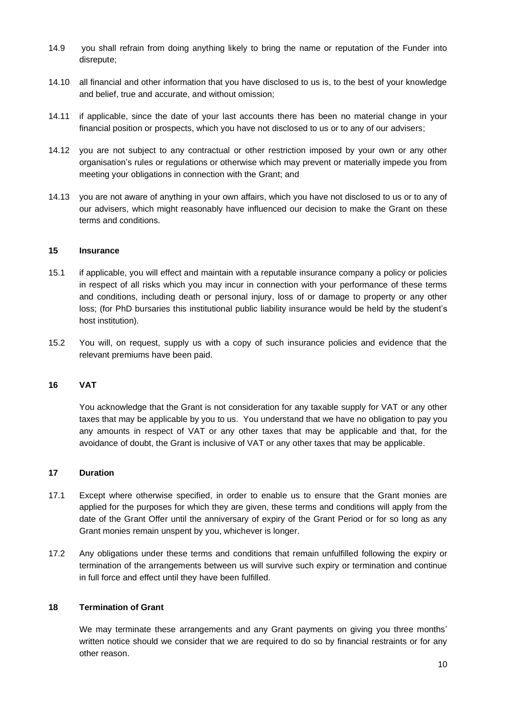- 14.9 you shall refrain from doing anything likely to bring the name or reputation of the Funder into disrepute;
- 14.10 all financial and other information that you have disclosed to us is, to the best of your knowledge and belief, true and accurate, and without omission;
- 14.11 if applicable, since the date of your last accounts there has been no material change in your financial position or prospects, which you have not disclosed to us or to any of our advisers;
- 14.12 you are not subject to any contractual or other restriction imposed by your own or any other organisation's rules or regulations or otherwise which may prevent or materially impede you from meeting your obligations in connection with the Grant; and
- 14.13 you are not aware of anything in your own affairs, which you have not disclosed to us or to any of our advisers, which might reasonably have influenced our decision to make the Grant on these terms and conditions.

#### **15 Insurance**

- 15.1 if applicable, you will effect and maintain with a reputable insurance company a policy or policies in respect of all risks which you may incur in connection with your performance of these terms and conditions, including death or personal injury, loss of or damage to property or any other loss; (for PhD bursaries this institutional public liability insurance would be held by the student's host institution).
- 15.2 You will, on request, supply us with a copy of such insurance policies and evidence that the relevant premiums have been paid.

#### **16 VAT**

You acknowledge that the Grant is not consideration for any taxable supply for VAT or any other taxes that may be applicable by you to us. You understand that we have no obligation to pay you any amounts in respect of VAT or any other taxes that may be applicable and that, for the avoidance of doubt, the Grant is inclusive of VAT or any other taxes that may be applicable.

#### **17 Duration**

- 17.1 Except where otherwise specified, in order to enable us to ensure that the Grant monies are applied for the purposes for which they are given, these terms and conditions will apply from the date of the Grant Offer until the anniversary of expiry of the Grant Period or for so long as any Grant monies remain unspent by you, whichever is longer.
- 17.2 Any obligations under these terms and conditions that remain unfulfilled following the expiry or termination of the arrangements between us will survive such expiry or termination and continue in full force and effect until they have been fulfilled.

#### **18 Termination of Grant**

We may terminate these arrangements and any Grant payments on giving you three months' written notice should we consider that we are required to do so by financial restraints or for any other reason.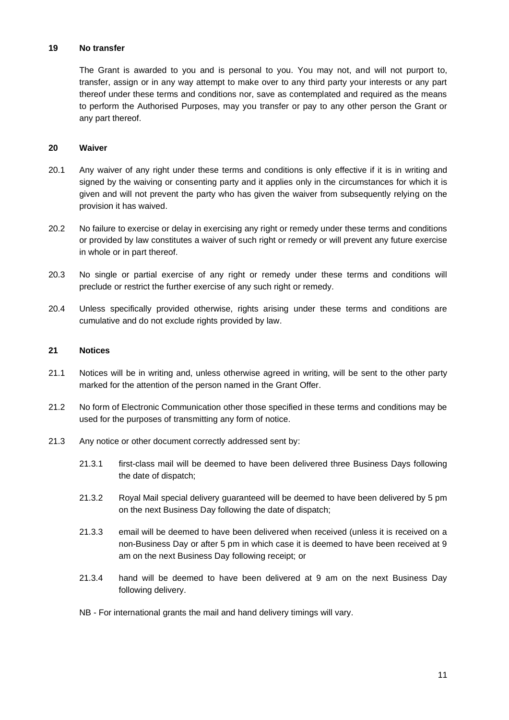#### **19 No transfer**

The Grant is awarded to you and is personal to you. You may not, and will not purport to, transfer, assign or in any way attempt to make over to any third party your interests or any part thereof under these terms and conditions nor, save as contemplated and required as the means to perform the Authorised Purposes, may you transfer or pay to any other person the Grant or any part thereof.

#### **20 Waiver**

- 20.1 Any waiver of any right under these terms and conditions is only effective if it is in writing and signed by the waiving or consenting party and it applies only in the circumstances for which it is given and will not prevent the party who has given the waiver from subsequently relying on the provision it has waived.
- 20.2 No failure to exercise or delay in exercising any right or remedy under these terms and conditions or provided by law constitutes a waiver of such right or remedy or will prevent any future exercise in whole or in part thereof.
- 20.3 No single or partial exercise of any right or remedy under these terms and conditions will preclude or restrict the further exercise of any such right or remedy.
- 20.4 Unless specifically provided otherwise, rights arising under these terms and conditions are cumulative and do not exclude rights provided by law.

#### **21 Notices**

- 21.1 Notices will be in writing and, unless otherwise agreed in writing, will be sent to the other party marked for the attention of the person named in the Grant Offer.
- 21.2 No form of Electronic Communication other those specified in these terms and conditions may be used for the purposes of transmitting any form of notice.
- 21.3 Any notice or other document correctly addressed sent by:
	- 21.3.1 first-class mail will be deemed to have been delivered three Business Days following the date of dispatch;
	- 21.3.2 Royal Mail special delivery guaranteed will be deemed to have been delivered by 5 pm on the next Business Day following the date of dispatch;
	- 21.3.3 email will be deemed to have been delivered when received (unless it is received on a non-Business Day or after 5 pm in which case it is deemed to have been received at 9 am on the next Business Day following receipt; or
	- 21.3.4 hand will be deemed to have been delivered at 9 am on the next Business Day following delivery.
	- NB For international grants the mail and hand delivery timings will vary.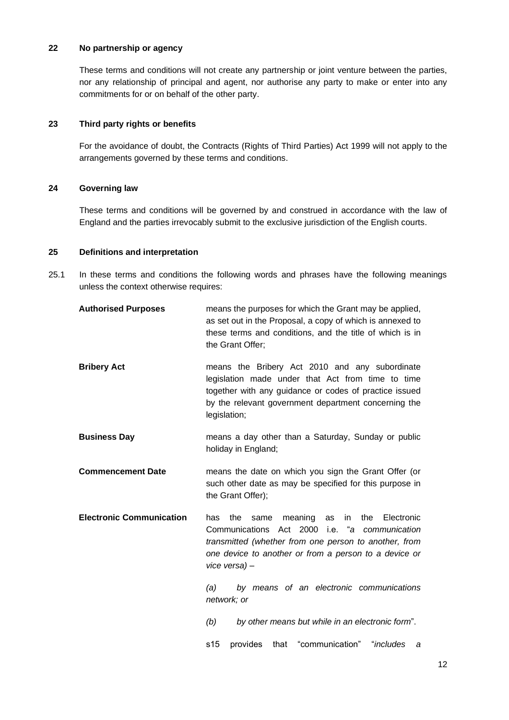### **22 No partnership or agency**

These terms and conditions will not create any partnership or joint venture between the parties, nor any relationship of principal and agent, nor authorise any party to make or enter into any commitments for or on behalf of the other party.

#### **23 Third party rights or benefits**

For the avoidance of doubt, the Contracts (Rights of Third Parties) Act 1999 will not apply to the arrangements governed by these terms and conditions.

#### **24 Governing law**

These terms and conditions will be governed by and construed in accordance with the law of England and the parties irrevocably submit to the exclusive jurisdiction of the English courts.

#### **25 Definitions and interpretation**

25.1 In these terms and conditions the following words and phrases have the following meanings unless the context otherwise requires:

| <b>Authorised Purposes</b>      | means the purposes for which the Grant may be applied,<br>as set out in the Proposal, a copy of which is annexed to<br>these terms and conditions, and the title of which is in<br>the Grant Offer;                                                   |  |
|---------------------------------|-------------------------------------------------------------------------------------------------------------------------------------------------------------------------------------------------------------------------------------------------------|--|
| <b>Bribery Act</b>              | means the Bribery Act 2010 and any subordinate<br>legislation made under that Act from time to time<br>together with any guidance or codes of practice issued<br>by the relevant government department concerning the<br>legislation;                 |  |
| <b>Business Day</b>             | means a day other than a Saturday, Sunday or public<br>holiday in England;                                                                                                                                                                            |  |
| <b>Commencement Date</b>        | means the date on which you sign the Grant Offer (or<br>such other date as may be specified for this purpose in<br>the Grant Offer);                                                                                                                  |  |
| <b>Electronic Communication</b> | meaning<br>Electronic<br>the<br>same<br>in<br>the<br>has<br>as<br>Communications Act 2000 i.e. "a<br>communication<br>transmitted (whether from one person to another, from<br>one device to another or from a person to a device or<br>vice versa) - |  |
|                                 | by means of an electronic communications<br>(a)<br>network; or                                                                                                                                                                                        |  |
|                                 | (b)<br>by other means but while in an electronic form".                                                                                                                                                                                               |  |
|                                 | that "communication" "includes<br>s <sub>15</sub><br>provides<br>а                                                                                                                                                                                    |  |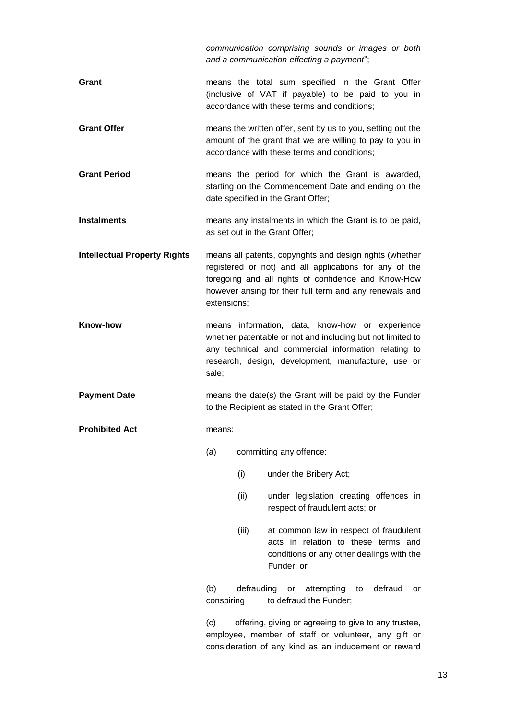*communication comprising sounds or images or both and a communication effecting a payment*"; **Grant Grant MEA COLOGIST MEA COLOGIST COLOGIST COLOGIST COLOGIST COLOGIST COLOGIST COLOGIST COLOGIST COLOGIST COLOGIST COLOGIST COLOGIST COLOGIST COLOGIST COLOGIST** (inclusive of VAT if payable) to be paid to you in accordance with these terms and conditions; **Grant Offer** means the written offer, sent by us to you, setting out the amount of the grant that we are willing to pay to you in accordance with these terms and conditions; **Grant Period** means the period for which the Grant is awarded, starting on the Commencement Date and ending on the date specified in the Grant Offer; **Instalments** means any instalments in which the Grant is to be paid, as set out in the Grant Offer; **Intellectual Property Rights** means all patents, copyrights and design rights (whether registered or not) and all applications for any of the foregoing and all rights of confidence and Know-How however arising for their full term and any renewals and extensions; **Know-how** means information, data, know-how or experience whether patentable or not and including but not limited to any technical and commercial information relating to research, design, development, manufacture, use or sale; **Payment Date** means the date(s) the Grant will be paid by the Funder to the Recipient as stated in the Grant Offer; **Prohibited Act** means: (a) committing any offence: (i) under the Bribery Act; (ii) under legislation creating offences in respect of fraudulent acts; or (iii) at common law in respect of fraudulent acts in relation to these terms and conditions or any other dealings with the Funder; or (b) defrauding or attempting to defraud or conspiring to defraud the Funder; (c) offering, giving or agreeing to give to any trustee, employee, member of staff or volunteer, any gift or consideration of any kind as an inducement or reward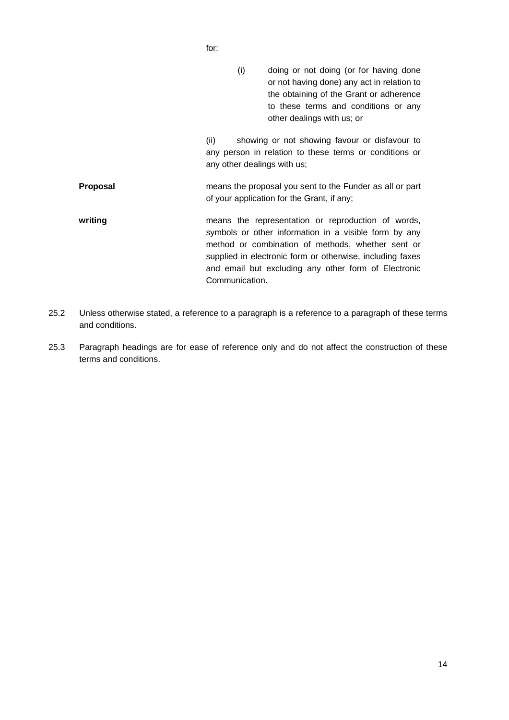for:

(i) doing or not doing (or for having done or not having done) any act in relation to the obtaining of the Grant or adherence to these terms and conditions or any other dealings with us; or

(ii) showing or not showing favour or disfavour to any person in relation to these terms or conditions or any other dealings with us;

**Proposal** means the proposal you sent to the Funder as all or part of your application for the Grant, if any;

- writing **writing** means the representation or reproduction of words, symbols or other information in a visible form by any method or combination of methods, whether sent or supplied in electronic form or otherwise, including faxes and email but excluding any other form of Electronic Communication.
- 25.2 Unless otherwise stated, a reference to a paragraph is a reference to a paragraph of these terms and conditions.
- 25.3 Paragraph headings are for ease of reference only and do not affect the construction of these terms and conditions.